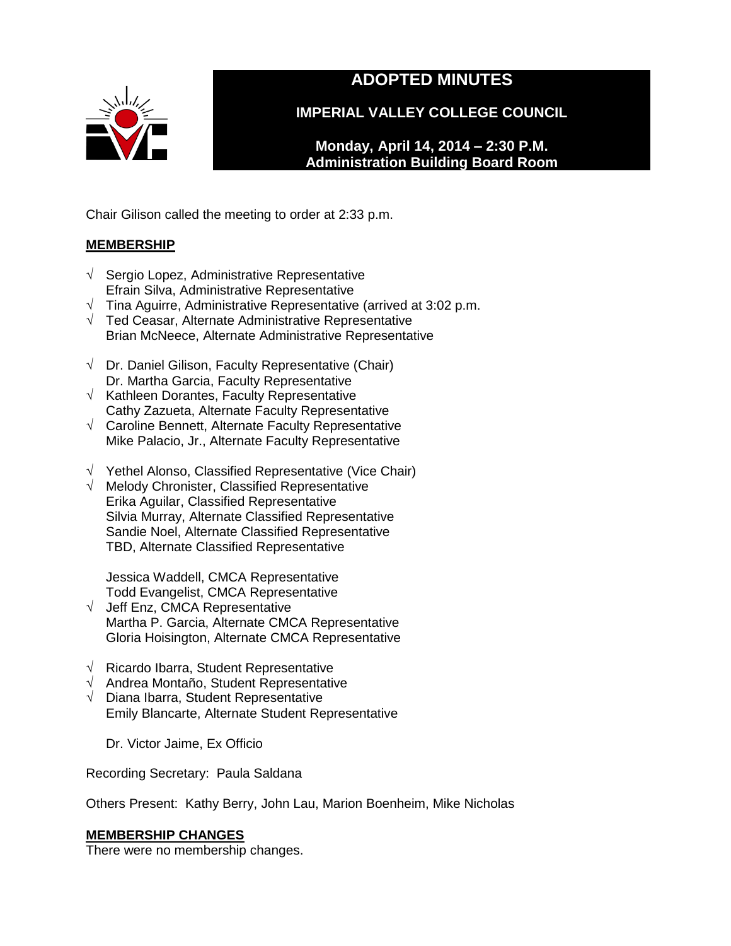

# **ADOPTED MINUTES**

**IMPERIAL VALLEY COLLEGE COUNCIL**

**Monday, April 14, 2014 – 2:30 P.M. Administration Building Board Room** 

Chair Gilison called the meeting to order at 2:33 p.m.

# **MEMBERSHIP**

- √ Sergio Lopez, Administrative Representative Efrain Silva, Administrative Representative
- √ Tina Aguirre, Administrative Representative (arrived at 3:02 p.m.
- √ Ted Ceasar, Alternate Administrative Representative Brian McNeece, Alternate Administrative Representative
- $\sqrt{\phantom{a}}$  Dr. Daniel Gilison, Faculty Representative (Chair) Dr. Martha Garcia, Faculty Representative
- $\sqrt{\phantom{a}}$  Kathleen Dorantes, Faculty Representative Cathy Zazueta, Alternate Faculty Representative
- √ Caroline Bennett, Alternate Faculty Representative Mike Palacio, Jr., Alternate Faculty Representative
- √ Yethel Alonso, Classified Representative (Vice Chair)
- √ Melody Chronister, Classified Representative Erika Aguilar, Classified Representative Silvia Murray, Alternate Classified Representative Sandie Noel, Alternate Classified Representative TBD, Alternate Classified Representative

Jessica Waddell, CMCA Representative Todd Evangelist, CMCA Representative

- √ Jeff Enz, CMCA Representative Martha P. Garcia, Alternate CMCA Representative Gloria Hoisington, Alternate CMCA Representative
- √ Ricardo Ibarra, Student Representative
- √ Andrea Montaño, Student Representative
- √ Diana Ibarra, Student Representative Emily Blancarte, Alternate Student Representative

Dr. Victor Jaime, Ex Officio

Recording Secretary: Paula Saldana

Others Present: Kathy Berry, John Lau, Marion Boenheim, Mike Nicholas

# **MEMBERSHIP CHANGES**

There were no membership changes.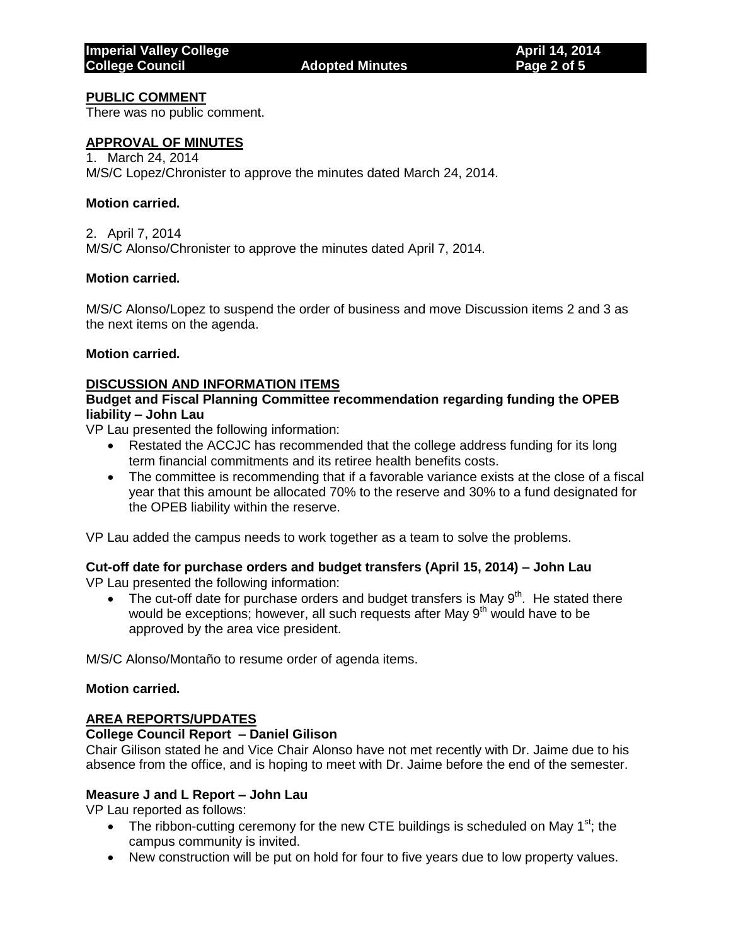# **PUBLIC COMMENT**

There was no public comment.

# **APPROVAL OF MINUTES**

1. March 24, 2014 M/S/C Lopez/Chronister to approve the minutes dated March 24, 2014.

## **Motion carried.**

2. April 7, 2014 M/S/C Alonso/Chronister to approve the minutes dated April 7, 2014.

## **Motion carried.**

M/S/C Alonso/Lopez to suspend the order of business and move Discussion items 2 and 3 as the next items on the agenda.

## **Motion carried.**

# **DISCUSSION AND INFORMATION ITEMS**

## **Budget and Fiscal Planning Committee recommendation regarding funding the OPEB liability – John Lau**

VP Lau presented the following information:

- Restated the ACCJC has recommended that the college address funding for its long term financial commitments and its retiree health benefits costs.
- The committee is recommending that if a favorable variance exists at the close of a fiscal year that this amount be allocated 70% to the reserve and 30% to a fund designated for the OPEB liability within the reserve.

VP Lau added the campus needs to work together as a team to solve the problems.

# **Cut-off date for purchase orders and budget transfers (April 15, 2014) – John Lau**

VP Lau presented the following information:

• The cut-off date for purchase orders and budget transfers is May  $9<sup>th</sup>$ . He stated there would be exceptions; however, all such requests after May  $9<sup>th</sup>$  would have to be approved by the area vice president.

M/S/C Alonso/Montaño to resume order of agenda items.

#### **Motion carried.**

# **AREA REPORTS/UPDATES**

#### **College Council Report – Daniel Gilison**

Chair Gilison stated he and Vice Chair Alonso have not met recently with Dr. Jaime due to his absence from the office, and is hoping to meet with Dr. Jaime before the end of the semester.

## **Measure J and L Report – John Lau**

VP Lau reported as follows:

- The ribbon-cutting ceremony for the new CTE buildings is scheduled on May 1<sup>st</sup>; the campus community is invited.
- New construction will be put on hold for four to five years due to low property values.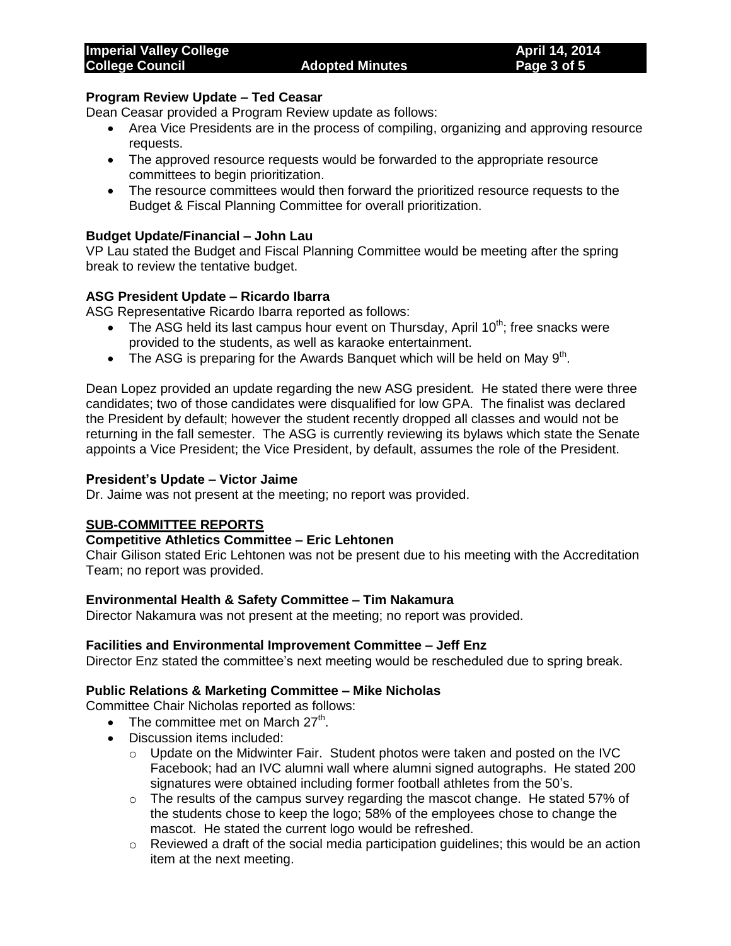# **Program Review Update – Ted Ceasar**

Dean Ceasar provided a Program Review update as follows:

- Area Vice Presidents are in the process of compiling, organizing and approving resource requests.
- The approved resource requests would be forwarded to the appropriate resource committees to begin prioritization.
- The resource committees would then forward the prioritized resource requests to the Budget & Fiscal Planning Committee for overall prioritization.

# **Budget Update/Financial – John Lau**

VP Lau stated the Budget and Fiscal Planning Committee would be meeting after the spring break to review the tentative budget.

# **ASG President Update – Ricardo Ibarra**

ASG Representative Ricardo Ibarra reported as follows:

- The ASG held its last campus hour event on Thursday, April  $10^{th}$ ; free snacks were provided to the students, as well as karaoke entertainment.
- The ASG is preparing for the Awards Banquet which will be held on May  $9<sup>th</sup>$ .

Dean Lopez provided an update regarding the new ASG president. He stated there were three candidates; two of those candidates were disqualified for low GPA. The finalist was declared the President by default; however the student recently dropped all classes and would not be returning in the fall semester. The ASG is currently reviewing its bylaws which state the Senate appoints a Vice President; the Vice President, by default, assumes the role of the President.

## **President's Update – Victor Jaime**

Dr. Jaime was not present at the meeting; no report was provided.

# **SUB-COMMITTEE REPORTS**

## **Competitive Athletics Committee – Eric Lehtonen**

Chair Gilison stated Eric Lehtonen was not be present due to his meeting with the Accreditation Team; no report was provided.

#### **Environmental Health & Safety Committee – Tim Nakamura**

Director Nakamura was not present at the meeting; no report was provided.

# **Facilities and Environmental Improvement Committee – Jeff Enz**

Director Enz stated the committee's next meeting would be rescheduled due to spring break.

#### **Public Relations & Marketing Committee – Mike Nicholas**

Committee Chair Nicholas reported as follows:

- The committee met on March  $27<sup>th</sup>$ .
- Discussion items included:
	- $\circ$  Update on the Midwinter Fair. Student photos were taken and posted on the IVC Facebook; had an IVC alumni wall where alumni signed autographs. He stated 200 signatures were obtained including former football athletes from the 50's.
	- $\circ$  The results of the campus survey regarding the mascot change. He stated 57% of the students chose to keep the logo; 58% of the employees chose to change the mascot. He stated the current logo would be refreshed.
	- $\circ$  Reviewed a draft of the social media participation guidelines; this would be an action item at the next meeting.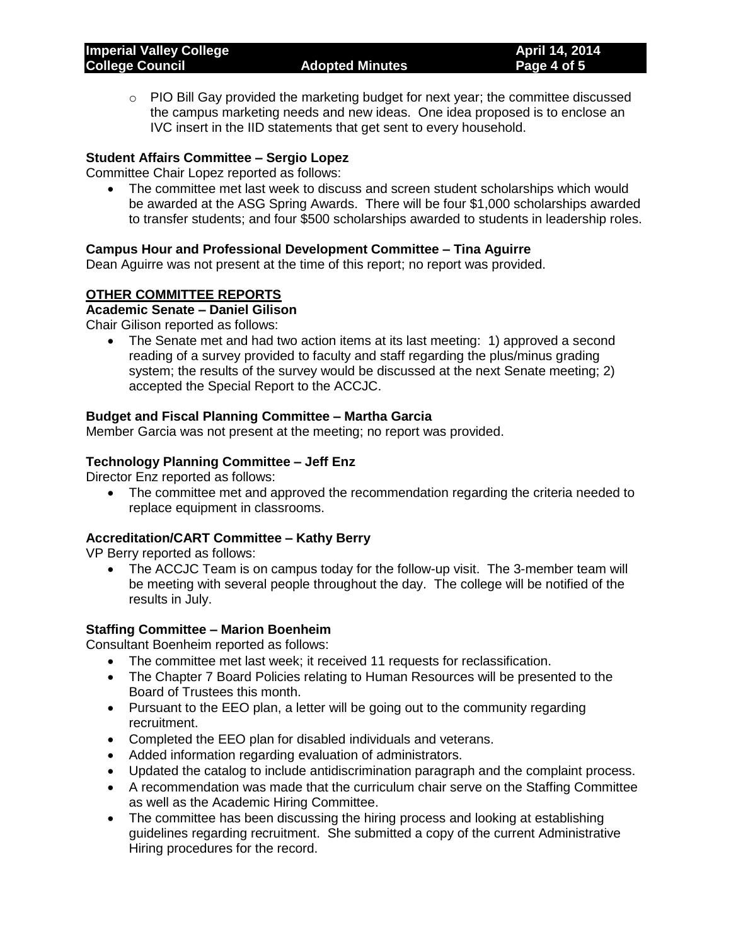$\circ$  PIO Bill Gay provided the marketing budget for next year; the committee discussed the campus marketing needs and new ideas. One idea proposed is to enclose an IVC insert in the IID statements that get sent to every household.

# **Student Affairs Committee – Sergio Lopez**

Committee Chair Lopez reported as follows:

 The committee met last week to discuss and screen student scholarships which would be awarded at the ASG Spring Awards. There will be four \$1,000 scholarships awarded to transfer students; and four \$500 scholarships awarded to students in leadership roles.

## **Campus Hour and Professional Development Committee – Tina Aguirre**

Dean Aguirre was not present at the time of this report; no report was provided.

## **OTHER COMMITTEE REPORTS**

# **Academic Senate – Daniel Gilison**

Chair Gilison reported as follows:

 The Senate met and had two action items at its last meeting: 1) approved a second reading of a survey provided to faculty and staff regarding the plus/minus grading system; the results of the survey would be discussed at the next Senate meeting; 2) accepted the Special Report to the ACCJC.

#### **Budget and Fiscal Planning Committee – Martha Garcia**

Member Garcia was not present at the meeting; no report was provided.

#### **Technology Planning Committee – Jeff Enz**

Director Enz reported as follows:

• The committee met and approved the recommendation regarding the criteria needed to replace equipment in classrooms.

#### **Accreditation/CART Committee – Kathy Berry**

VP Berry reported as follows:

 The ACCJC Team is on campus today for the follow-up visit. The 3-member team will be meeting with several people throughout the day. The college will be notified of the results in July.

#### **Staffing Committee – Marion Boenheim**

Consultant Boenheim reported as follows:

- The committee met last week; it received 11 requests for reclassification.
- The Chapter 7 Board Policies relating to Human Resources will be presented to the Board of Trustees this month.
- Pursuant to the EEO plan, a letter will be going out to the community regarding recruitment.
- Completed the EEO plan for disabled individuals and veterans.
- Added information regarding evaluation of administrators.
- Updated the catalog to include antidiscrimination paragraph and the complaint process.
- A recommendation was made that the curriculum chair serve on the Staffing Committee as well as the Academic Hiring Committee.
- The committee has been discussing the hiring process and looking at establishing guidelines regarding recruitment. She submitted a copy of the current Administrative Hiring procedures for the record.